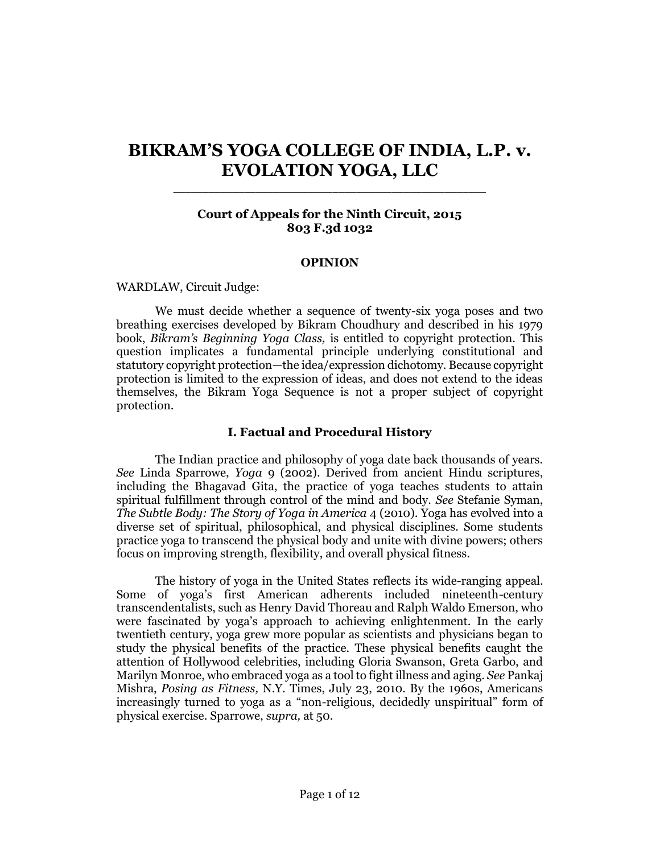# **BIKRAM'S YOGA COLLEGE OF INDIA, L.P. v. EVOLATION YOGA, LLC**

\_\_\_\_\_\_\_\_\_\_\_\_\_\_\_\_\_\_\_\_\_\_\_\_\_\_\_\_\_\_\_\_\_\_\_\_\_\_\_\_\_\_\_\_\_\_\_\_\_\_\_\_\_

# **Court of Appeals for the Ninth Circuit, 2015 803 F.3d 1032**

#### **OPINION**

#### [WARDLAW,](http://www.westlaw.com/Link/Document/FullText?findType=h&pubNum=176284&cite=0231873901&originatingDoc=Ib47565c86dec11e5b86bd602cb8781fa&refType=RQ&originationContext=document&vr=3.0&rs=cblt1.0&transitionType=DocumentItem&contextData=(sc.Search)) Circuit Judge:

We must decide whether a sequence of twenty-six yoga poses and two breathing exercises developed by Bikram Choudhury and described in his 1979 book, *Bikram's Beginning Yoga Class,* is entitled to copyright protection. This question implicates a fundamental principle underlying constitutional and statutory copyright protection—the idea/expression dichotomy. Because copyright protection is limited to the expression of ideas, and does not extend to the ideas themselves, the Bikram Yoga Sequence is not a proper subject of copyright protection.

#### **I. Factual and Procedural History**

The Indian practice and philosophy of yoga date back thousands of years. *See* Linda Sparrowe, *Yoga* 9 (2002). Derived from ancient Hindu scriptures, including the Bhagavad Gita, the practice of yoga teaches students to attain spiritual fulfillment through control of the mind and body. *See* Stefanie Syman, *The Subtle Body: The Story of Yoga in America* 4 (2010). Yoga has evolved into a diverse set of spiritual, philosophical, and physical disciplines. Some students practice yoga to transcend the physical body and unite with divine powers; others focus on improving strength, flexibility, and overall physical fitness.

The history of yoga in the United States reflects its wide-ranging appeal. Some of yoga's first American adherents included nineteenth-century transcendentalists, such as Henry David Thoreau and Ralph Waldo Emerson, who were fascinated by yoga's approach to achieving enlightenment. In the early twentieth century, yoga grew more popular as scientists and physicians began to study the physical benefits of the practice. These physical benefits caught the attention of Hollywood celebrities, including Gloria Swanson, Greta Garbo, and Marilyn Monroe, who embraced yoga as a tool to fight illness and aging. *See* Pankaj Mishra, *Posing as Fitness,* N.Y. Times, July 23, 2010. By the 1960s, Americans increasingly turned to yoga as a "non-religious, decidedly unspiritual" form of physical exercise. Sparrowe, *supra,* at 50.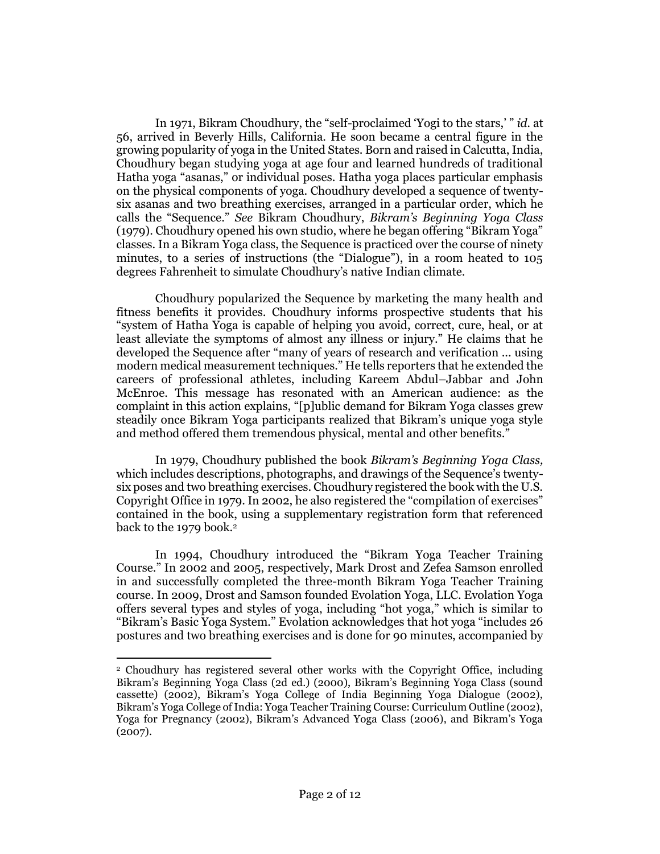In 1971, Bikram Choudhury, the "self-proclaimed 'Yogi to the stars,' " *id.* at 56, arrived in Beverly Hills, California. He soon became a central figure in the growing popularity of yoga in the United States. Born and raised in Calcutta, India, Choudhury began studying yoga at age four and learned hundreds of traditional Hatha yoga "asanas," or individual poses. Hatha yoga places particular emphasis on the physical components of yoga. Choudhury developed a sequence of twentysix asanas and two breathing exercises, arranged in a particular order, which he calls the "Sequence." *See* Bikram Choudhury, *Bikram's Beginning Yoga Class* (1979). Choudhury opened his own studio, where he began offering "Bikram Yoga" classes. In a Bikram Yoga class, the Sequence is practiced over the course of ninety minutes, to a series of instructions (the "Dialogue"), in a room heated to 105 degrees Fahrenheit to simulate Choudhury's native Indian climate.

Choudhury popularized the Sequence by marketing the many health and fitness benefits it provides. Choudhury informs prospective students that his "system of Hatha Yoga is capable of helping you avoid, correct, cure, heal, or at least alleviate the symptoms of almost any illness or injury." He claims that he developed the Sequence after "many of years of research and verification ... using modern medical measurement techniques." He tells reporters that he extended the careers of professional athletes, including Kareem Abdul–Jabbar and John McEnroe. This message has resonated with an American audience: as the complaint in this action explains, "[p]ublic demand for Bikram Yoga classes grew steadily once Bikram Yoga participants realized that Bikram's unique yoga style and method offered them tremendous physical, mental and other benefits."

In 1979, Choudhury published the book *Bikram's Beginning Yoga Class,* which includes descriptions, photographs, and drawings of the Sequence's twentysix poses and two breathing exercises. Choudhury registered the book with the U.S. Copyright Office in 1979. In 2002, he also registered the "compilation of exercises" contained in the book, using a supplementary registration form that referenced back to the 1979 book.<sup>2</sup>

In 1994, Choudhury introduced the "Bikram Yoga Teacher Training Course." In 2002 and 2005, respectively, Mark Drost and Zefea Samson enrolled in and successfully completed the three-month Bikram Yoga Teacher Training course. In 2009, Drost and Samson founded Evolation Yoga, LLC. Evolation Yoga offers several types and styles of yoga, including "hot yoga," which is similar to "Bikram's Basic Yoga System." Evolation acknowledges that hot yoga "includes 26 postures and two breathing exercises and is done for 90 minutes, accompanied by

<sup>2</sup> Choudhury has registered several other works with the Copyright Office, including Bikram's Beginning Yoga Class (2d ed.) (2000), Bikram's Beginning Yoga Class (sound cassette) (2002), Bikram's Yoga College of India Beginning Yoga Dialogue (2002), Bikram's Yoga College of India: Yoga Teacher Training Course: Curriculum Outline (2002), Yoga for Pregnancy (2002), Bikram's Advanced Yoga Class (2006), and Bikram's Yoga (2007).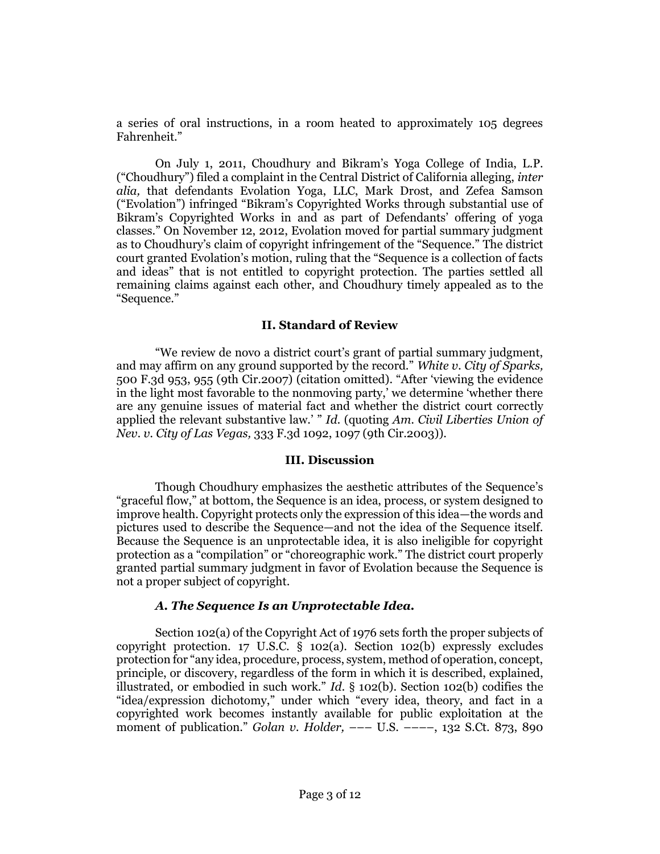a series of oral instructions, in a room heated to approximately 105 degrees Fahrenheit."

On July 1, 2011, Choudhury and Bikram's Yoga College of India, L.P. ("Choudhury") filed a complaint in the Central District of California alleging, *inter alia,* that defendants Evolation Yoga, LLC, Mark Drost, and Zefea Samson ("Evolation") infringed "Bikram's Copyrighted Works through substantial use of Bikram's Copyrighted Works in and as part of Defendants' offering of yoga classes." On November 12, 2012, Evolation moved for partial summary judgment as to Choudhury's claim of copyright infringement of the "Sequence." The district court granted Evolation's motion, ruling that the "Sequence is a collection of facts and ideas" that is not entitled to copyright protection. The parties settled all remaining claims against each other, and Choudhury timely appealed as to the "Sequence."

#### **II. Standard of Review**

"We review de novo a district court's grant of partial summary judgment, and may affirm on any ground supported by the record." *[White v. City of Sparks,](http://www.westlaw.com/Link/Document/FullText?findType=Y&serNum=2013074182&pubNum=0000506&originatingDoc=Ib47565c86dec11e5b86bd602cb8781fa&refType=RP&fi=co_pp_sp_506_955&originationContext=document&vr=3.0&rs=cblt1.0&transitionType=DocumentItem&contextData=(sc.Search)#co_pp_sp_506_955)* [500 F.3d 953, 955 \(9th Cir.2007\)](http://www.westlaw.com/Link/Document/FullText?findType=Y&serNum=2013074182&pubNum=0000506&originatingDoc=Ib47565c86dec11e5b86bd602cb8781fa&refType=RP&fi=co_pp_sp_506_955&originationContext=document&vr=3.0&rs=cblt1.0&transitionType=DocumentItem&contextData=(sc.Search)#co_pp_sp_506_955) (citation omitted). "After 'viewing the evidence in the light most favorable to the nonmoving party,' we determine 'whether there are any genuine issues of material fact and whether the district court correctly applied the relevant substantive law.' " *Id.* (quoting *[Am. Civil Liberties Union of](http://www.westlaw.com/Link/Document/FullText?findType=Y&serNum=2003467218&pubNum=0000506&originatingDoc=Ib47565c86dec11e5b86bd602cb8781fa&refType=RP&fi=co_pp_sp_506_1097&originationContext=document&vr=3.0&rs=cblt1.0&transitionType=DocumentItem&contextData=(sc.Search)#co_pp_sp_506_1097)  Nev. v. City of Las Vegas,* [333 F.3d 1092, 1097 \(9th Cir.2003\)\)](http://www.westlaw.com/Link/Document/FullText?findType=Y&serNum=2003467218&pubNum=0000506&originatingDoc=Ib47565c86dec11e5b86bd602cb8781fa&refType=RP&fi=co_pp_sp_506_1097&originationContext=document&vr=3.0&rs=cblt1.0&transitionType=DocumentItem&contextData=(sc.Search)#co_pp_sp_506_1097).

#### **III. Discussion**

Though Choudhury emphasizes the aesthetic attributes of the Sequence's "graceful flow," at bottom, the Sequence is an idea, process, or system designed to improve health. Copyright protects only the expression of this idea—the words and pictures used to describe the Sequence—and not the idea of the Sequence itself. Because the Sequence is an unprotectable idea, it is also ineligible for copyright protection as a "compilation" or "choreographic work." The district court properly granted partial summary judgment in favor of Evolation because the Sequence is not a proper subject of copyright.

#### *A. The Sequence Is an Unprotectable Idea.*

Section 102(a) of the Copyright Act of 1976 sets forth the proper subjects of copyright protection. [17 U.S.C. § 102\(a\).](http://www.westlaw.com/Link/Document/FullText?findType=L&pubNum=1000546&cite=17USCAS102&originatingDoc=Ib47565c86dec11e5b86bd602cb8781fa&refType=RB&originationContext=document&vr=3.0&rs=cblt1.0&transitionType=DocumentItem&contextData=(sc.Search)#co_pp_8b3b0000958a4) [Section 102\(b\)](http://www.westlaw.com/Link/Document/FullText?findType=L&pubNum=1000546&cite=17USCAS102&originatingDoc=Ib47565c86dec11e5b86bd602cb8781fa&refType=RB&originationContext=document&vr=3.0&rs=cblt1.0&transitionType=DocumentItem&contextData=(sc.Search)#co_pp_a83b000018c76) expressly excludes protection for "any idea, procedure, process, system, method of operation, concept, principle, or discovery, regardless of the form in which it is described, explained, illustrated, or embodied in such work." *Id.* [§ 102\(b\). Section 102\(b\)](http://www.westlaw.com/Link/Document/FullText?findType=L&pubNum=1000546&cite=17USCAS102&originatingDoc=Ib47565c86dec11e5b86bd602cb8781fa&refType=RB&originationContext=document&vr=3.0&rs=cblt1.0&transitionType=DocumentItem&contextData=(sc.Search)#co_pp_a83b000018c76) codifies the "idea/expression dichotomy," under which "every idea, theory, and fact in a copyrighted work becomes instantly available for public exploitation at the moment of publication." *Golan v. Holder,* ––– U.S. ––––[, 132 S.Ct. 873, 890](http://www.westlaw.com/Link/Document/FullText?findType=Y&serNum=2026877422&pubNum=0000708&originatingDoc=Ib47565c86dec11e5b86bd602cb8781fa&refType=RP&fi=co_pp_sp_708_890&originationContext=document&vr=3.0&rs=cblt1.0&transitionType=DocumentItem&contextData=(sc.Search)#co_pp_sp_708_890)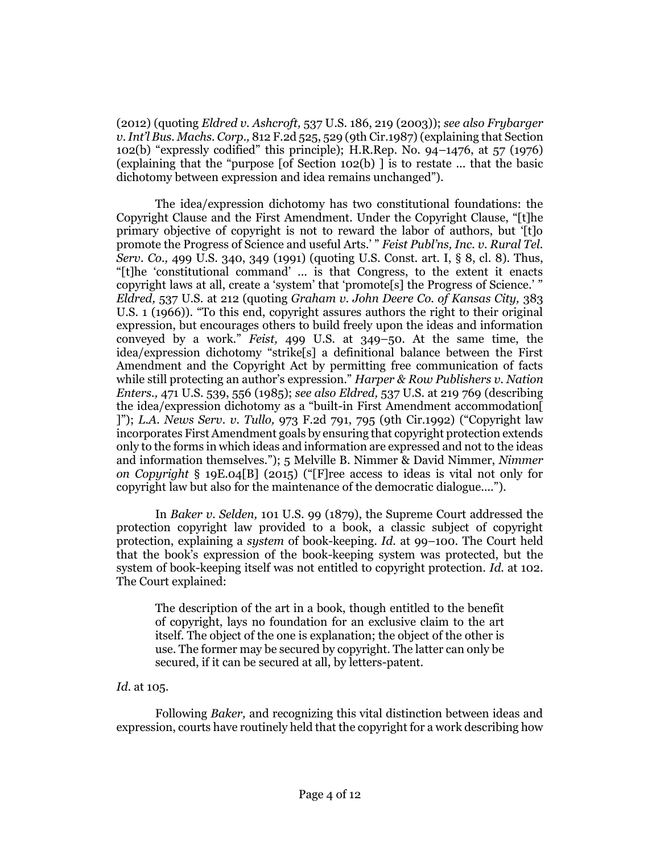[\(2012\)](http://www.westlaw.com/Link/Document/FullText?findType=Y&serNum=2026877422&pubNum=0000708&originatingDoc=Ib47565c86dec11e5b86bd602cb8781fa&refType=RP&fi=co_pp_sp_708_890&originationContext=document&vr=3.0&rs=cblt1.0&transitionType=DocumentItem&contextData=(sc.Search)#co_pp_sp_708_890) (quoting *[Eldred v. Ashcroft,](http://www.westlaw.com/Link/Document/FullText?findType=Y&serNum=2003078650&pubNum=0000708&originatingDoc=Ib47565c86dec11e5b86bd602cb8781fa&refType=RP&originationContext=document&vr=3.0&rs=cblt1.0&transitionType=DocumentItem&contextData=(sc.Search))* 537 U.S. 186, 219 (2003)); *see also [Frybarger](http://www.westlaw.com/Link/Document/FullText?findType=Y&serNum=1987030540&pubNum=0000350&originatingDoc=Ib47565c86dec11e5b86bd602cb8781fa&refType=RP&fi=co_pp_sp_350_529&originationContext=document&vr=3.0&rs=cblt1.0&transitionType=DocumentItem&contextData=(sc.Search)#co_pp_sp_350_529)  v. Int'l Bus. Machs. Corp.,* [812 F.2d 525, 529 \(9th Cir.1987\)](http://www.westlaw.com/Link/Document/FullText?findType=Y&serNum=1987030540&pubNum=0000350&originatingDoc=Ib47565c86dec11e5b86bd602cb8781fa&refType=RP&fi=co_pp_sp_350_529&originationContext=document&vr=3.0&rs=cblt1.0&transitionType=DocumentItem&contextData=(sc.Search)#co_pp_sp_350_529) (explaining tha[t Section](http://www.westlaw.com/Link/Document/FullText?findType=L&pubNum=1000546&cite=17USCAS102&originatingDoc=Ib47565c86dec11e5b86bd602cb8781fa&refType=RB&originationContext=document&vr=3.0&rs=cblt1.0&transitionType=DocumentItem&contextData=(sc.Search)#co_pp_a83b000018c76)  [102\(b\)](http://www.westlaw.com/Link/Document/FullText?findType=L&pubNum=1000546&cite=17USCAS102&originatingDoc=Ib47565c86dec11e5b86bd602cb8781fa&refType=RB&originationContext=document&vr=3.0&rs=cblt1.0&transitionType=DocumentItem&contextData=(sc.Search)#co_pp_a83b000018c76) "expressly codified" this principle); [H.R.Rep. No. 94](http://www.westlaw.com/Link/Document/FullText?findType=Y&serNum=0100747631&pubNum=0100014&originatingDoc=Ib47565c86dec11e5b86bd602cb8781fa&refType=TV&originationContext=document&vr=3.0&rs=cblt1.0&transitionType=DocumentItem&contextData=(sc.Search))–1476, at 57 (1976) (explaining that the "purpose [of [Section 102\(b\)](http://www.westlaw.com/Link/Document/FullText?findType=L&pubNum=1000546&cite=17USCAS102&originatingDoc=Ib47565c86dec11e5b86bd602cb8781fa&refType=RB&originationContext=document&vr=3.0&rs=cblt1.0&transitionType=DocumentItem&contextData=(sc.Search)#co_pp_a83b000018c76) ] is to restate ... that the basic dichotomy between expression and idea remains unchanged").

The idea/expression dichotomy has two constitutional foundations: the Copyright Clause and the First Amendment. Under the Copyright Clause, "[t]he primary objective of copyright is not to reward the labor of authors, but '[t]o promote the Progress of Science and useful Arts.' " *[Feist Publ'ns, Inc. v. Rural Tel.](http://www.westlaw.com/Link/Document/FullText?findType=Y&serNum=1991060551&pubNum=0000708&originatingDoc=Ib47565c86dec11e5b86bd602cb8781fa&refType=RP&originationContext=document&vr=3.0&rs=cblt1.0&transitionType=DocumentItem&contextData=(sc.Search))  Serv. Co.,* [499 U.S. 340, 349](http://www.westlaw.com/Link/Document/FullText?findType=Y&serNum=1991060551&pubNum=0000708&originatingDoc=Ib47565c86dec11e5b86bd602cb8781fa&refType=RP&originationContext=document&vr=3.0&rs=cblt1.0&transitionType=DocumentItem&contextData=(sc.Search)) (1991) (quoting [U.S. Const. art. I, § 8, cl. 8\)](http://www.westlaw.com/Link/Document/FullText?findType=L&pubNum=1000583&cite=USCOARTIS8CL8&originatingDoc=Ib47565c86dec11e5b86bd602cb8781fa&refType=LQ&originationContext=document&vr=3.0&rs=cblt1.0&transitionType=DocumentItem&contextData=(sc.Search)). Thus, "[t]he 'constitutional command' ... is that Congress, to the extent it enacts copyright laws at all, create a 'system' that 'promote[s] the Progress of Science.' " *Eldred,* [537 U.S. at 212](http://www.westlaw.com/Link/Document/FullText?findType=Y&serNum=2003078650&pubNum=0000708&originatingDoc=Ib47565c86dec11e5b86bd602cb8781fa&refType=RP&originationContext=document&vr=3.0&rs=cblt1.0&transitionType=DocumentItem&contextData=(sc.Search)) (quoting *[Graham v. John Deere Co. of Kansas City,](http://www.westlaw.com/Link/Document/FullText?findType=Y&serNum=1966112593&pubNum=0000708&originatingDoc=Ib47565c86dec11e5b86bd602cb8781fa&refType=RP&originationContext=document&vr=3.0&rs=cblt1.0&transitionType=DocumentItem&contextData=(sc.Search))* 383 [U.S. 1 \(1966\)](http://www.westlaw.com/Link/Document/FullText?findType=Y&serNum=1966112593&pubNum=0000708&originatingDoc=Ib47565c86dec11e5b86bd602cb8781fa&refType=RP&originationContext=document&vr=3.0&rs=cblt1.0&transitionType=DocumentItem&contextData=(sc.Search))). "To this end, copyright assures authors the right to their original expression, but encourages others to build freely upon the ideas and information conveyed by a work." *Feist,* [499 U.S. at](http://www.westlaw.com/Link/Document/FullText?findType=Y&serNum=1991060551&pubNum=0000708&originatingDoc=Ib47565c86dec11e5b86bd602cb8781fa&refType=RP&originationContext=document&vr=3.0&rs=cblt1.0&transitionType=DocumentItem&contextData=(sc.Search)) 349–50. At the same time, the idea/expression dichotomy "strike[s] a definitional balance between the First Amendment and the Copyright Act by permitting free communication of facts while still protecting an author's expression." *[Harper & Row Publishers v. Nation](http://www.westlaw.com/Link/Document/FullText?findType=Y&serNum=1985125844&pubNum=0000708&originatingDoc=Ib47565c86dec11e5b86bd602cb8781fa&refType=RP&originationContext=document&vr=3.0&rs=cblt1.0&transitionType=DocumentItem&contextData=(sc.Search))  Enters.,* [471 U.S. 539, 556](http://www.westlaw.com/Link/Document/FullText?findType=Y&serNum=1985125844&pubNum=0000708&originatingDoc=Ib47565c86dec11e5b86bd602cb8781fa&refType=RP&originationContext=document&vr=3.0&rs=cblt1.0&transitionType=DocumentItem&contextData=(sc.Search)) (1985); *see also Eldred,* [537 U.S. at 219](http://www.westlaw.com/Link/Document/FullText?findType=Y&serNum=2003078650&pubNum=0000708&originatingDoc=Ib47565c86dec11e5b86bd602cb8781fa&refType=RP&originationContext=document&vr=3.0&rs=cblt1.0&transitionType=DocumentItem&contextData=(sc.Search)) 769 (describing the idea/expression dichotomy as a "built-in First Amendment accommodation[ ]"); *L.A. News Serv. v. Tullo,* [973 F.2d 791, 795 \(9th Cir.1992\)](http://www.westlaw.com/Link/Document/FullText?findType=Y&serNum=1992151589&pubNum=0000350&originatingDoc=Ib47565c86dec11e5b86bd602cb8781fa&refType=RP&fi=co_pp_sp_350_795&originationContext=document&vr=3.0&rs=cblt1.0&transitionType=DocumentItem&contextData=(sc.Search)#co_pp_sp_350_795) ("Copyright law incorporates First Amendment goals by ensuring that copyright protection extends only to the forms in which ideas and information are expressed and not to the ideas and information themselves."); 5 Melville B. Nimmer & David Nimmer, *Nimmer on Copyright* § 19E.04[B] (2015) ("[F]ree access to ideas is vital not only for copyright law but also for the maintenance of the democratic dialogue....").

In *[Baker v. Selden,](http://www.westlaw.com/Link/Document/FullText?findType=Y&serNum=1879195185&pubNum=0000780&originatingDoc=Ib47565c86dec11e5b86bd602cb8781fa&refType=RP&originationContext=document&vr=3.0&rs=cblt1.0&transitionType=DocumentItem&contextData=(sc.Search))* 101 U.S. 99 (1879), the Supreme Court addressed the protection copyright law provided to a book, a classic subject of copyright protection, explaining a *system* of book-keeping. *Id.* [at 99](http://www.westlaw.com/Link/Document/FullText?findType=Y&serNum=1879195185&pubNum=0000780&originatingDoc=Ib47565c86dec11e5b86bd602cb8781fa&refType=RP&fi=co_pp_sp_780_99&originationContext=document&vr=3.0&rs=cblt1.0&transitionType=DocumentItem&contextData=(sc.Search)#co_pp_sp_780_99)–100. The Court held that the book's expression of the book-keeping system was protected, but the system of book-keeping itself was not entitled to copyright protection. *Id.* [at 102.](http://www.westlaw.com/Link/Document/FullText?findType=Y&serNum=1879195185&pubNum=0000780&originatingDoc=Ib47565c86dec11e5b86bd602cb8781fa&refType=RP&fi=co_pp_sp_780_102&originationContext=document&vr=3.0&rs=cblt1.0&transitionType=DocumentItem&contextData=(sc.Search)#co_pp_sp_780_102) The Court explained:

The description of the art in a book, though entitled to the benefit of copyright, lays no foundation for an exclusive claim to the art itself. The object of the one is explanation; the object of the other is use. The former may be secured by copyright. The latter can only be secured, if it can be secured at all, by letters-patent.

# *Id.* [at 105.](http://www.westlaw.com/Link/Document/FullText?findType=Y&serNum=1879195185&pubNum=0000780&originatingDoc=Ib47565c86dec11e5b86bd602cb8781fa&refType=RP&fi=co_pp_sp_780_105&originationContext=document&vr=3.0&rs=cblt1.0&transitionType=DocumentItem&contextData=(sc.Search)#co_pp_sp_780_105)

Following *Baker,* and recognizing this vital distinction between ideas and expression, courts have routinely held that the copyright for a work describing how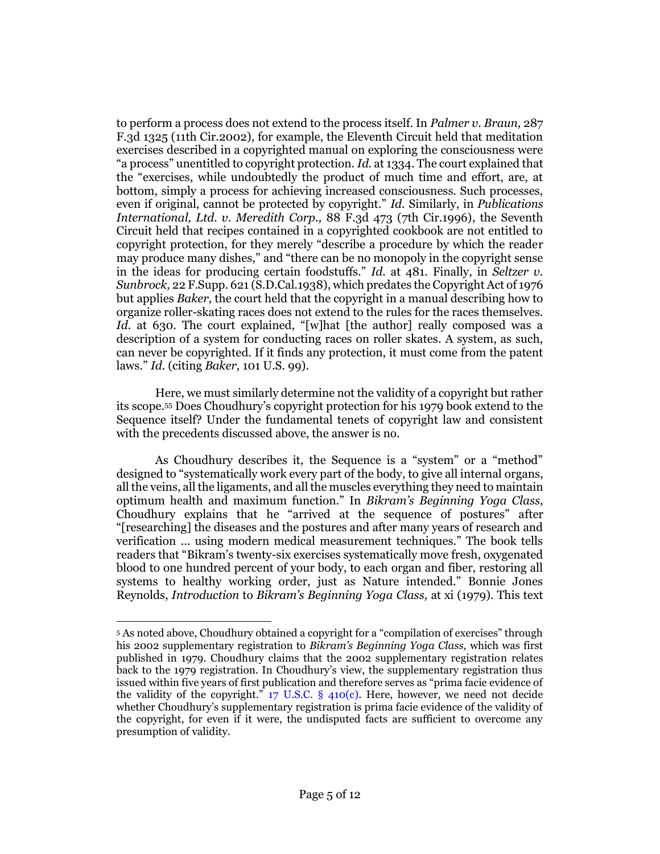to perform a process does not extend to the process itself. In *[Palmer v. Braun,](http://www.westlaw.com/Link/Document/FullText?findType=Y&serNum=2002236739&pubNum=0000506&originatingDoc=Ib47565c86dec11e5b86bd602cb8781fa&refType=RP&originationContext=document&vr=3.0&rs=cblt1.0&transitionType=DocumentItem&contextData=(sc.Search))* 287 [F.3d 1325 \(11th Cir.2002\),](http://www.westlaw.com/Link/Document/FullText?findType=Y&serNum=2002236739&pubNum=0000506&originatingDoc=Ib47565c86dec11e5b86bd602cb8781fa&refType=RP&originationContext=document&vr=3.0&rs=cblt1.0&transitionType=DocumentItem&contextData=(sc.Search)) for example, the Eleventh Circuit held that meditation exercises described in a copyrighted manual on exploring the consciousness were "a process" unentitled to copyright protection. *Id.* [at 1334.](http://www.westlaw.com/Link/Document/FullText?findType=Y&serNum=2002236739&pubNum=0000506&originatingDoc=Ib47565c86dec11e5b86bd602cb8781fa&refType=RP&fi=co_pp_sp_506_1334&originationContext=document&vr=3.0&rs=cblt1.0&transitionType=DocumentItem&contextData=(sc.Search)#co_pp_sp_506_1334) The court explained that the "exercises, while undoubtedly the product of much time and effort, are, at bottom, simply a process for achieving increased consciousness. Such processes, even if original, cannot be protected by copyright." *Id.* Similarly, in *[Publications](http://www.westlaw.com/Link/Document/FullText?findType=Y&serNum=1996154696&pubNum=0000506&originatingDoc=Ib47565c86dec11e5b86bd602cb8781fa&refType=RP&originationContext=document&vr=3.0&rs=cblt1.0&transitionType=DocumentItem&contextData=(sc.Search))  [International, Ltd. v. Meredith Corp.,](http://www.westlaw.com/Link/Document/FullText?findType=Y&serNum=1996154696&pubNum=0000506&originatingDoc=Ib47565c86dec11e5b86bd602cb8781fa&refType=RP&originationContext=document&vr=3.0&rs=cblt1.0&transitionType=DocumentItem&contextData=(sc.Search))* 88 F.3d 473 (7th Cir.1996), the Seventh Circuit held that recipes contained in a copyrighted cookbook are not entitled to copyright protection, for they merely "describe a procedure by which the reader may produce many dishes," and "there can be no monopoly in the copyright sense in the ideas for producing certain foodstuffs." *Id.* [at 481.](http://www.westlaw.com/Link/Document/FullText?findType=Y&serNum=1996154696&pubNum=0000506&originatingDoc=Ib47565c86dec11e5b86bd602cb8781fa&refType=RP&fi=co_pp_sp_506_481&originationContext=document&vr=3.0&rs=cblt1.0&transitionType=DocumentItem&contextData=(sc.Search)#co_pp_sp_506_481) Finally, in *[Seltzer v.](http://www.westlaw.com/Link/Document/FullText?findType=Y&serNum=1938121613&pubNum=0000345&originatingDoc=Ib47565c86dec11e5b86bd602cb8781fa&refType=RP&originationContext=document&vr=3.0&rs=cblt1.0&transitionType=DocumentItem&contextData=(sc.Search))  Sunbrock,* [22 F.Supp. 621 \(S.D.Cal.1938\),](http://www.westlaw.com/Link/Document/FullText?findType=Y&serNum=1938121613&pubNum=0000345&originatingDoc=Ib47565c86dec11e5b86bd602cb8781fa&refType=RP&originationContext=document&vr=3.0&rs=cblt1.0&transitionType=DocumentItem&contextData=(sc.Search)) which predates the Copyright Act of 1976 but applies *Baker,* the court held that the copyright in a manual describing how to organize roller-skating races does not extend to the rules for the races themselves. *Id.* [at 630](http://www.westlaw.com/Link/Document/FullText?findType=Y&serNum=1938121613&pubNum=0000345&originatingDoc=Ib47565c86dec11e5b86bd602cb8781fa&refType=RP&fi=co_pp_sp_345_630&originationContext=document&vr=3.0&rs=cblt1.0&transitionType=DocumentItem&contextData=(sc.Search)#co_pp_sp_345_630). The court explained, "[w]hat [the author] really composed was a description of a system for conducting races on roller skates. A system, as such, can never be copyrighted. If it finds any protection, it must come from the patent laws." *Id.* (citing *Baker,* [101 U.S. 99\)](http://www.westlaw.com/Link/Document/FullText?findType=Y&serNum=1879195185&pubNum=0000780&originatingDoc=Ib47565c86dec11e5b86bd602cb8781fa&refType=RP&originationContext=document&vr=3.0&rs=cblt1.0&transitionType=DocumentItem&contextData=(sc.Search)).

Here, we must similarly determine not the validity of a copyright but rather its scope.[55](#page-4-0) Does Choudhury's copyright protection for his 1979 book extend to the Sequence itself? Under the fundamental tenets of copyright law and consistent with the precedents discussed above, the answer is no.

<span id="page-4-0"></span>As Choudhury describes it, the Sequence is a "system" or a "method" designed to "systematically work every part of the body, to give all internal organs, all the veins, all the ligaments, and all the muscles everything they need to maintain optimum health and maximum function." In *Bikram's Beginning Yoga Class,* Choudhury explains that he "arrived at the sequence of postures" after "[researching] the diseases and the postures and after many years of research and verification ... using modern medical measurement techniques." The book tells readers that "Bikram's twenty-six exercises systematically move fresh, oxygenated blood to one hundred percent of your body, to each organ and fiber, restoring all systems to healthy working order, just as Nature intended." Bonnie Jones Reynolds, *Introduction* to *Bikram's Beginning Yoga Class,* at xi (1979). This text

<sup>5</sup> As noted above, Choudhury obtained a copyright for a "compilation of exercises" through his 2002 supplementary registration to *Bikram's Beginning Yoga Class,* which was first published in 1979. Choudhury claims that the 2002 supplementary registration relates back to the 1979 registration. In Choudhury's view, the supplementary registration thus issued within five years of first publication and therefore serves as "prima facie evidence of the validity of the copyright."  $17 \text{ U.S.C. }$  § 410(c). Here, however, we need not decide whether Choudhury's supplementary registration is prima facie evidence of the validity of the copyright, for even if it were, the undisputed facts are sufficient to overcome any presumption of validity.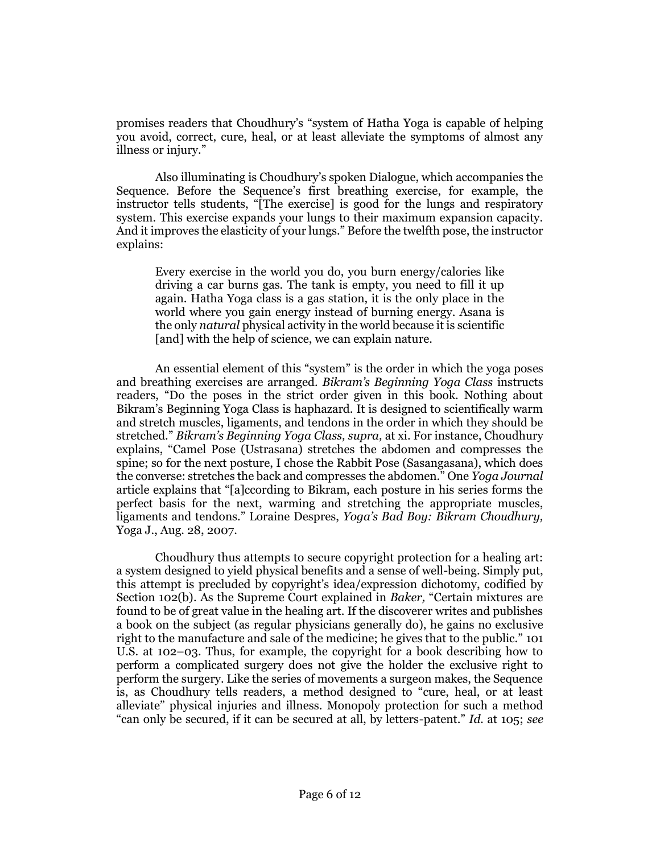promises readers that Choudhury's "system of Hatha Yoga is capable of helping you avoid, correct, cure, heal, or at least alleviate the symptoms of almost any illness or injury."

Also illuminating is Choudhury's spoken Dialogue, which accompanies the Sequence. Before the Sequence's first breathing exercise, for example, the instructor tells students, "[The exercise] is good for the lungs and respiratory system. This exercise expands your lungs to their maximum expansion capacity. And it improves the elasticity of your lungs." Before the twelfth pose, the instructor explains:

Every exercise in the world you do, you burn energy/calories like driving a car burns gas. The tank is empty, you need to fill it up again. Hatha Yoga class is a gas station, it is the only place in the world where you gain energy instead of burning energy. Asana is the only *natural* physical activity in the world because it is scientific [and] with the help of science, we can explain nature.

An essential element of this "system" is the order in which the yoga poses and breathing exercises are arranged. *Bikram's Beginning Yoga Class* instructs readers, "Do the poses in the strict order given in this book. Nothing about Bikram's Beginning Yoga Class is haphazard. It is designed to scientifically warm and stretch muscles, ligaments, and tendons in the order in which they should be stretched." *Bikram's Beginning Yoga Class, supra,* at xi. For instance, Choudhury explains, "Camel Pose (Ustrasana) stretches the abdomen and compresses the spine; so for the next posture, I chose the Rabbit Pose (Sasangasana), which does the converse: stretches the back and compresses the abdomen." One *Yoga Journal* article explains that "[a]ccording to Bikram, each posture in his series forms the perfect basis for the next, warming and stretching the appropriate muscles, ligaments and tendons." Loraine Despres, *Yoga's Bad Boy: Bikram Choudhury,* Yoga J., Aug. 28, 2007.

Choudhury thus attempts to secure copyright protection for a healing art: a system designed to yield physical benefits and a sense of well-being. Simply put, this attempt is precluded by copyright's idea/expression dichotomy, codified by [Section 102\(b\).](http://www.westlaw.com/Link/Document/FullText?findType=L&pubNum=1000546&cite=17USCAS102&originatingDoc=Ib47565c86dec11e5b86bd602cb8781fa&refType=RB&originationContext=document&vr=3.0&rs=cblt1.0&transitionType=DocumentItem&contextData=(sc.Search)#co_pp_a83b000018c76) As the Supreme Court explained in *Baker,* "Certain mixtures are found to be of great value in the healing art. If the discoverer writes and publishes a book on the subject (as regular physicians generally do), he gains no exclusive right to the manufacture and sale of the medicine; he gives that to the public." [101](http://www.westlaw.com/Link/Document/FullText?findType=Y&serNum=1879195185&pubNum=0000780&originatingDoc=Ib47565c86dec11e5b86bd602cb8781fa&refType=RP&fi=co_pp_sp_780_102&originationContext=document&vr=3.0&rs=cblt1.0&transitionType=DocumentItem&contextData=(sc.Search)#co_pp_sp_780_102)  [U.S. at 102](http://www.westlaw.com/Link/Document/FullText?findType=Y&serNum=1879195185&pubNum=0000780&originatingDoc=Ib47565c86dec11e5b86bd602cb8781fa&refType=RP&fi=co_pp_sp_780_102&originationContext=document&vr=3.0&rs=cblt1.0&transitionType=DocumentItem&contextData=(sc.Search)#co_pp_sp_780_102)–03. Thus, for example, the copyright for a book describing how to perform a complicated surgery does not give the holder the exclusive right to perform the surgery. Like the series of movements a surgeon makes, the Sequence is, as Choudhury tells readers, a method designed to "cure, heal, or at least alleviate" physical injuries and illness. Monopoly protection for such a method "can only be secured, if it can be secured at all, by letters-patent." *Id.* [at 105;](http://www.westlaw.com/Link/Document/FullText?findType=Y&serNum=1879195185&pubNum=0000780&originatingDoc=Ib47565c86dec11e5b86bd602cb8781fa&refType=RP&fi=co_pp_sp_780_105&originationContext=document&vr=3.0&rs=cblt1.0&transitionType=DocumentItem&contextData=(sc.Search)#co_pp_sp_780_105) *see*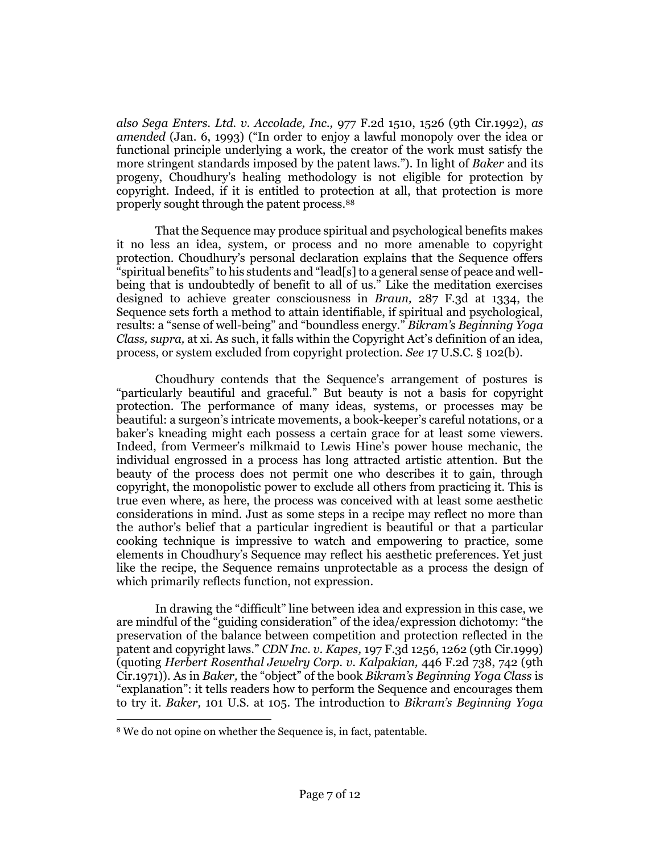*also [Sega Enters. Ltd. v. Accolade, Inc.,](http://www.westlaw.com/Link/Document/FullText?findType=Y&serNum=1992181455&pubNum=0000350&originatingDoc=Ib47565c86dec11e5b86bd602cb8781fa&refType=RP&fi=co_pp_sp_350_1526&originationContext=document&vr=3.0&rs=cblt1.0&transitionType=DocumentItem&contextData=(sc.Search)#co_pp_sp_350_1526)* 977 F.2d 1510, 1526 (9th Cir.1992), *as amended* (Jan. 6, 1993) ("In order to enjoy a lawful monopoly over the idea or functional principle underlying a work, the creator of the work must satisfy the more stringent standards imposed by the patent laws."). In light of *Baker* and its progeny, Choudhury's healing methodology is not eligible for protection by copyright. Indeed, if it is entitled to protection at all, that protection is more properly sought through the patent process.<sup>88</sup>

That the Sequence may produce spiritual and psychological benefits makes it no less an idea, system, or process and no more amenable to copyright protection. Choudhury's personal declaration explains that the Sequence offers "spiritual benefits" to his students and "lead[s] to a general sense of peace and wellbeing that is undoubtedly of benefit to all of us." Like the meditation exercises designed to achieve greater consciousness in *Braun,* [287 F.3d at 1334,](http://www.westlaw.com/Link/Document/FullText?findType=Y&serNum=2002236739&pubNum=0000506&originatingDoc=Ib47565c86dec11e5b86bd602cb8781fa&refType=RP&fi=co_pp_sp_506_1334&originationContext=document&vr=3.0&rs=cblt1.0&transitionType=DocumentItem&contextData=(sc.Search)#co_pp_sp_506_1334) the Sequence sets forth a method to attain identifiable, if spiritual and psychological, results: a "sense of well-being" and "boundless energy." *Bikram's Beginning Yoga Class, supra,* at xi. As such, it falls within the Copyright Act's definition of an idea, process, or system excluded from copyright protection. *See* [17 U.S.C. § 102\(b\).](http://www.westlaw.com/Link/Document/FullText?findType=L&pubNum=1000546&cite=17USCAS102&originatingDoc=Ib47565c86dec11e5b86bd602cb8781fa&refType=RB&originationContext=document&vr=3.0&rs=cblt1.0&transitionType=DocumentItem&contextData=(sc.Search)#co_pp_a83b000018c76)

Choudhury contends that the Sequence's arrangement of postures is "particularly beautiful and graceful." But beauty is not a basis for copyright protection. The performance of many ideas, systems, or processes may be beautiful: a surgeon's intricate movements, a book-keeper's careful notations, or a baker's kneading might each possess a certain grace for at least some viewers. Indeed, from Vermeer's milkmaid to Lewis Hine's power house mechanic, the individual engrossed in a process has long attracted artistic attention. But the beauty of the process does not permit one who describes it to gain, through copyright, the monopolistic power to exclude all others from practicing it. This is true even where, as here, the process was conceived with at least some aesthetic considerations in mind. Just as some steps in a recipe may reflect no more than the author's belief that a particular ingredient is beautiful or that a particular cooking technique is impressive to watch and empowering to practice, some elements in Choudhury's Sequence may reflect his aesthetic preferences. Yet just like the recipe, the Sequence remains unprotectable as a process the design of which primarily reflects function, not expression.

In drawing the "difficult" line between idea and expression in this case, we are mindful of the "guiding consideration" of the idea/expression dichotomy: "the preservation of the balance between competition and protection reflected in the patent and copyright laws." *CDN Inc. v. Kapes,* [197 F.3d 1256, 1262 \(9th Cir.1999\)](http://www.westlaw.com/Link/Document/FullText?findType=Y&serNum=1999263864&pubNum=0000506&originatingDoc=Ib47565c86dec11e5b86bd602cb8781fa&refType=RP&fi=co_pp_sp_506_1262&originationContext=document&vr=3.0&rs=cblt1.0&transitionType=DocumentItem&contextData=(sc.Search)#co_pp_sp_506_1262) (quoting *[Herbert Rosenthal Jewelry Corp. v. Kalpakian,](http://www.westlaw.com/Link/Document/FullText?findType=Y&serNum=1971111728&pubNum=0000350&originatingDoc=Ib47565c86dec11e5b86bd602cb8781fa&refType=RP&fi=co_pp_sp_350_742&originationContext=document&vr=3.0&rs=cblt1.0&transitionType=DocumentItem&contextData=(sc.Search)#co_pp_sp_350_742)* 446 F.2d 738, 742 (9th [Cir.1971\)\)](http://www.westlaw.com/Link/Document/FullText?findType=Y&serNum=1971111728&pubNum=0000350&originatingDoc=Ib47565c86dec11e5b86bd602cb8781fa&refType=RP&fi=co_pp_sp_350_742&originationContext=document&vr=3.0&rs=cblt1.0&transitionType=DocumentItem&contextData=(sc.Search)#co_pp_sp_350_742). As in *Baker,* the "object" of the book *Bikram's Beginning Yoga Class* is "explanation": it tells readers how to perform the Sequence and encourages them to try it. *Baker,* [101 U.S. at 105.](http://www.westlaw.com/Link/Document/FullText?findType=Y&serNum=1879195185&pubNum=0000780&originatingDoc=Ib47565c86dec11e5b86bd602cb8781fa&refType=RP&fi=co_pp_sp_780_105&originationContext=document&vr=3.0&rs=cblt1.0&transitionType=DocumentItem&contextData=(sc.Search)#co_pp_sp_780_105) The introduction to *Bikram's Beginning Yoga* 

<sup>8</sup> We do not opine on whether the Sequence is, in fact, patentable.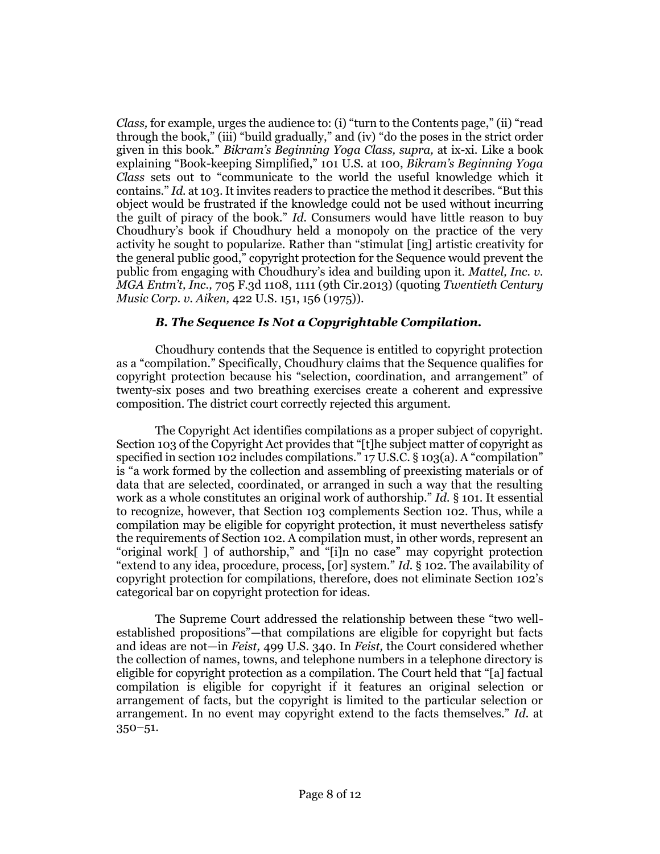*Class,* for example, urges the audience to: (i) "turn to the Contents page," (ii) "read through the book," (iii) "build gradually," and (iv) "do the poses in the strict order given in this book." *Bikram's Beginning Yoga Class, supra,* at ix-xi. Like a book explaining "Book-keeping Simplified," [101 U.S. at 100,](http://www.westlaw.com/Link/Document/FullText?findType=Y&serNum=1879195185&pubNum=0000780&originatingDoc=Ib47565c86dec11e5b86bd602cb8781fa&refType=RP&fi=co_pp_sp_780_100&originationContext=document&vr=3.0&rs=cblt1.0&transitionType=DocumentItem&contextData=(sc.Search)#co_pp_sp_780_100) *Bikram's Beginning Yoga Class* sets out to "communicate to the world the useful knowledge which it contains." *Id.* [at 103](http://www.westlaw.com/Link/Document/FullText?findType=Y&serNum=1879195185&pubNum=0000780&originatingDoc=Ib47565c86dec11e5b86bd602cb8781fa&refType=RP&fi=co_pp_sp_780_103&originationContext=document&vr=3.0&rs=cblt1.0&transitionType=DocumentItem&contextData=(sc.Search)#co_pp_sp_780_103). It invites readers to practice the method it describes. "But this object would be frustrated if the knowledge could not be used without incurring the guilt of piracy of the book." *Id.* Consumers would have little reason to buy Choudhury's book if Choudhury held a monopoly on the practice of the very activity he sought to popularize. Rather than "stimulat [ing] artistic creativity for the general public good," copyright protection for the Sequence would prevent the public from engaging with Choudhury's idea and building upon it. *[Mattel, Inc. v.](http://www.westlaw.com/Link/Document/FullText?findType=Y&serNum=2029715825&pubNum=0000506&originatingDoc=Ib47565c86dec11e5b86bd602cb8781fa&refType=RP&fi=co_pp_sp_506_1111&originationContext=document&vr=3.0&rs=cblt1.0&transitionType=DocumentItem&contextData=(sc.Search)#co_pp_sp_506_1111)  MGA Entm't, Inc.,* 705 F.3d 1108, [1111 \(9th Cir.2013\)](http://www.westlaw.com/Link/Document/FullText?findType=Y&serNum=2029715825&pubNum=0000506&originatingDoc=Ib47565c86dec11e5b86bd602cb8781fa&refType=RP&fi=co_pp_sp_506_1111&originationContext=document&vr=3.0&rs=cblt1.0&transitionType=DocumentItem&contextData=(sc.Search)#co_pp_sp_506_1111) (quoting *[Twentieth Century](http://www.westlaw.com/Link/Document/FullText?findType=Y&serNum=1975129809&pubNum=0000708&originatingDoc=Ib47565c86dec11e5b86bd602cb8781fa&refType=RP&originationContext=document&vr=3.0&rs=cblt1.0&transitionType=DocumentItem&contextData=(sc.Search))  Music Corp. v. Aiken,* [422 U.S. 151, 156 \(1975\)\)](http://www.westlaw.com/Link/Document/FullText?findType=Y&serNum=1975129809&pubNum=0000708&originatingDoc=Ib47565c86dec11e5b86bd602cb8781fa&refType=RP&originationContext=document&vr=3.0&rs=cblt1.0&transitionType=DocumentItem&contextData=(sc.Search)).

# *B. The Sequence Is Not a Copyrightable Compilation.*

Choudhury contends that the Sequence is entitled to copyright protection as a "compilation." Specifically, Choudhury claims that the Sequence qualifies for copyright protection because his "selection, coordination, and arrangement" of twenty-six poses and two breathing exercises create a coherent and expressive composition. The district court correctly rejected this argument.

The Copyright Act identifies compilations as a proper subject of copyright. Section 103 of the Copyright Act provides that "[t]he subject matter of copyright as specified i[n section 102](http://www.westlaw.com/Link/Document/FullText?findType=L&pubNum=1000546&cite=17USCAS102&originatingDoc=Ib47565c86dec11e5b86bd602cb8781fa&refType=LQ&originationContext=document&vr=3.0&rs=cblt1.0&transitionType=DocumentItem&contextData=(sc.Search)) includes compilations." [17 U.S.C. § 103\(a\)](http://www.westlaw.com/Link/Document/FullText?findType=L&pubNum=1000546&cite=17USCAS103&originatingDoc=Ib47565c86dec11e5b86bd602cb8781fa&refType=RB&originationContext=document&vr=3.0&rs=cblt1.0&transitionType=DocumentItem&contextData=(sc.Search)#co_pp_8b3b0000958a4). A "compilation" is "a work formed by the collection and assembling of preexisting materials or of data that are selected, coordinated, or arranged in such a way that the resulting work as a whole constitutes an original work of authorship." *Id.* § 101. It essential to recognize, however, that [Section 103](http://www.westlaw.com/Link/Document/FullText?findType=L&pubNum=1000546&cite=17USCAS103&originatingDoc=Ib47565c86dec11e5b86bd602cb8781fa&refType=LQ&originationContext=document&vr=3.0&rs=cblt1.0&transitionType=DocumentItem&contextData=(sc.Search)) complements [Section 102.](http://www.westlaw.com/Link/Document/FullText?findType=L&pubNum=1000546&cite=17USCAS102&originatingDoc=Ib47565c86dec11e5b86bd602cb8781fa&refType=LQ&originationContext=document&vr=3.0&rs=cblt1.0&transitionType=DocumentItem&contextData=(sc.Search)) Thus, while a compilation may be eligible for copyright protection, it must nevertheless satisfy the requirements of [Section 102.](http://www.westlaw.com/Link/Document/FullText?findType=L&pubNum=1000546&cite=17USCAS102&originatingDoc=Ib47565c86dec11e5b86bd602cb8781fa&refType=LQ&originationContext=document&vr=3.0&rs=cblt1.0&transitionType=DocumentItem&contextData=(sc.Search)) A compilation must, in other words, represent an "original work[ ] of authorship," and "[i]n no case" may copyright protection "extend to any idea, procedure, process, [or] system." *Id.* § 102. The availability of copyright protection for compilations, therefore, does not eliminate [Section 102](http://www.westlaw.com/Link/Document/FullText?findType=L&pubNum=1000546&cite=17USCAS102&originatingDoc=Ib47565c86dec11e5b86bd602cb8781fa&refType=LQ&originationContext=document&vr=3.0&rs=cblt1.0&transitionType=DocumentItem&contextData=(sc.Search))'s categorical bar on copyright protection for ideas.

The Supreme Court addressed the relationship between these "two wellestablished propositions"—that compilations are eligible for copyright but facts and ideas are not—in *Feist,* [499 U.S. 340.](http://www.westlaw.com/Link/Document/FullText?findType=Y&serNum=1991060551&pubNum=0000708&originatingDoc=Ib47565c86dec11e5b86bd602cb8781fa&refType=RP&originationContext=document&vr=3.0&rs=cblt1.0&transitionType=DocumentItem&contextData=(sc.Search)) In *Feist,* the Court considered whether the collection of names, towns, and telephone numbers in a telephone directory is eligible for copyright protection as a compilation. The Court held that "[a] factual compilation is eligible for copyright if it features an original selection or arrangement of facts, but the copyright is limited to the particular selection or arrangement. In no event may copyright extend to the facts themselves." *[Id.](http://www.westlaw.com/Link/Document/FullText?findType=Y&serNum=1991060551&pubNum=0000708&originatingDoc=Ib47565c86dec11e5b86bd602cb8781fa&refType=RP&originationContext=document&vr=3.0&rs=cblt1.0&transitionType=DocumentItem&contextData=(sc.Search))* at [350](http://www.westlaw.com/Link/Document/FullText?findType=Y&serNum=1991060551&pubNum=0000708&originatingDoc=Ib47565c86dec11e5b86bd602cb8781fa&refType=RP&originationContext=document&vr=3.0&rs=cblt1.0&transitionType=DocumentItem&contextData=(sc.Search))–51.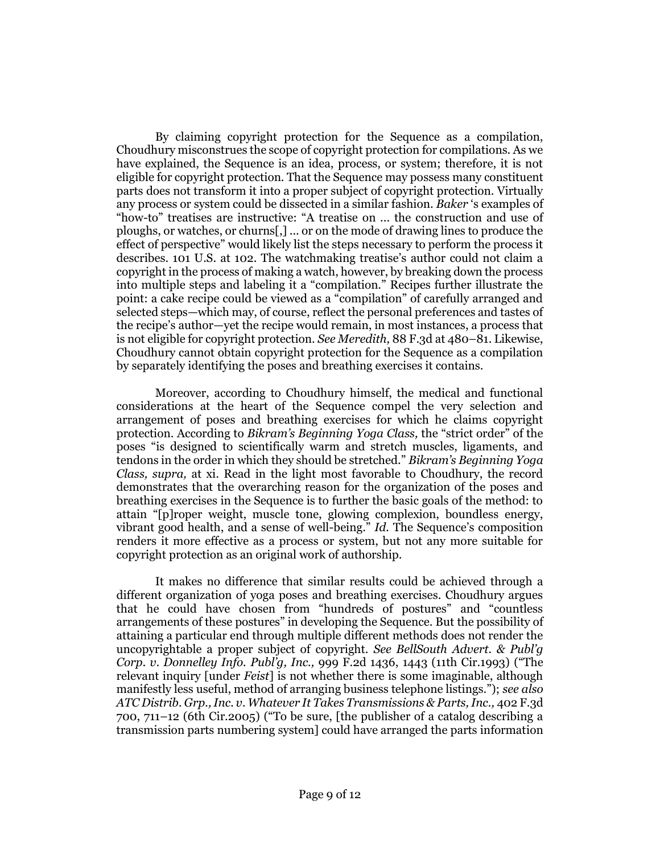By claiming copyright protection for the Sequence as a compilation, Choudhury misconstrues the scope of copyright protection for compilations. As we have explained, the Sequence is an idea, process, or system; therefore, it is not eligible for copyright protection. That the Sequence may possess many constituent parts does not transform it into a proper subject of copyright protection. Virtually any process or system could be dissected in a similar fashion. *Baker* 's examples of "how-to" treatises are instructive: "A treatise on ... the construction and use of ploughs, or watches, or churns[,] ... or on the mode of drawing lines to produce the effect of perspective" would likely list the steps necessary to perform the process it describes. [101 U.S. at 102](http://www.westlaw.com/Link/Document/FullText?findType=Y&serNum=1879195185&pubNum=0000780&originatingDoc=Ib47565c86dec11e5b86bd602cb8781fa&refType=RP&fi=co_pp_sp_780_102&originationContext=document&vr=3.0&rs=cblt1.0&transitionType=DocumentItem&contextData=(sc.Search)#co_pp_sp_780_102). The watchmaking treatise's author could not claim a copyright in the process of making a watch, however, by breaking down the process into multiple steps and labeling it a "compilation." Recipes further illustrate the point: a cake recipe could be viewed as a "compilation" of carefully arranged and selected steps—which may, of course, reflect the personal preferences and tastes of the recipe's author—yet the recipe would remain, in most instances, a process that is not eligible for copyright protection. *See Meredith,* [88 F.3d at 480](http://www.westlaw.com/Link/Document/FullText?findType=Y&serNum=1996154696&pubNum=0000506&originatingDoc=Ib47565c86dec11e5b86bd602cb8781fa&refType=RP&fi=co_pp_sp_506_480&originationContext=document&vr=3.0&rs=cblt1.0&transitionType=DocumentItem&contextData=(sc.Search)#co_pp_sp_506_480)–81. Likewise, Choudhury cannot obtain copyright protection for the Sequence as a compilation by separately identifying the poses and breathing exercises it contains.

Moreover, according to Choudhury himself, the medical and functional considerations at the heart of the Sequence compel the very selection and arrangement of poses and breathing exercises for which he claims copyright protection. According to *Bikram's Beginning Yoga Class,* the "strict order" of the poses "is designed to scientifically warm and stretch muscles, ligaments, and tendons in the order in which they should be stretched." *Bikram's Beginning Yoga Class, supra,* at xi. Read in the light most favorable to Choudhury, the record demonstrates that the overarching reason for the organization of the poses and breathing exercises in the Sequence is to further the basic goals of the method: to attain "[p]roper weight, muscle tone, glowing complexion, boundless energy, vibrant good health, and a sense of well-being." *Id.* The Sequence's composition renders it more effective as a process or system, but not any more suitable for copyright protection as an original work of authorship.

It makes no difference that similar results could be achieved through a different organization of yoga poses and breathing exercises. Choudhury argues that he could have chosen from "hundreds of postures" and "countless arrangements of these postures" in developing the Sequence. But the possibility of attaining a particular end through multiple different methods does not render the uncopyrightable a proper subject of copyright. *See [BellSouth Advert. & Publ'g](http://www.westlaw.com/Link/Document/FullText?findType=Y&serNum=1993164322&pubNum=0000350&originatingDoc=Ib47565c86dec11e5b86bd602cb8781fa&refType=RP&fi=co_pp_sp_350_1443&originationContext=document&vr=3.0&rs=cblt1.0&transitionType=DocumentItem&contextData=(sc.Search)#co_pp_sp_350_1443)  Corp. v. Donnelley Info. Publ'g, Inc.,* [999 F.2d 1436, 1443 \(11th Cir.1993\)](http://www.westlaw.com/Link/Document/FullText?findType=Y&serNum=1993164322&pubNum=0000350&originatingDoc=Ib47565c86dec11e5b86bd602cb8781fa&refType=RP&fi=co_pp_sp_350_1443&originationContext=document&vr=3.0&rs=cblt1.0&transitionType=DocumentItem&contextData=(sc.Search)#co_pp_sp_350_1443) ("The relevant inquiry [under *Feist*] is not whether there is some imaginable, although manifestly less useful, method of arranging business telephone listings."); *see also [ATC Distrib. Grp., Inc. v. Whatever It Takes Transmissions & Parts, Inc.,](http://www.westlaw.com/Link/Document/FullText?findType=Y&serNum=2006397716&pubNum=0000506&originatingDoc=Ib47565c86dec11e5b86bd602cb8781fa&refType=RP&fi=co_pp_sp_506_711&originationContext=document&vr=3.0&rs=cblt1.0&transitionType=DocumentItem&contextData=(sc.Search)#co_pp_sp_506_711)* 402 F.3d 700, 711–[12 \(6th Cir.2005\)](http://www.westlaw.com/Link/Document/FullText?findType=Y&serNum=2006397716&pubNum=0000506&originatingDoc=Ib47565c86dec11e5b86bd602cb8781fa&refType=RP&fi=co_pp_sp_506_711&originationContext=document&vr=3.0&rs=cblt1.0&transitionType=DocumentItem&contextData=(sc.Search)#co_pp_sp_506_711) ("To be sure, [the publisher of a catalog describing a transmission parts numbering system] could have arranged the parts information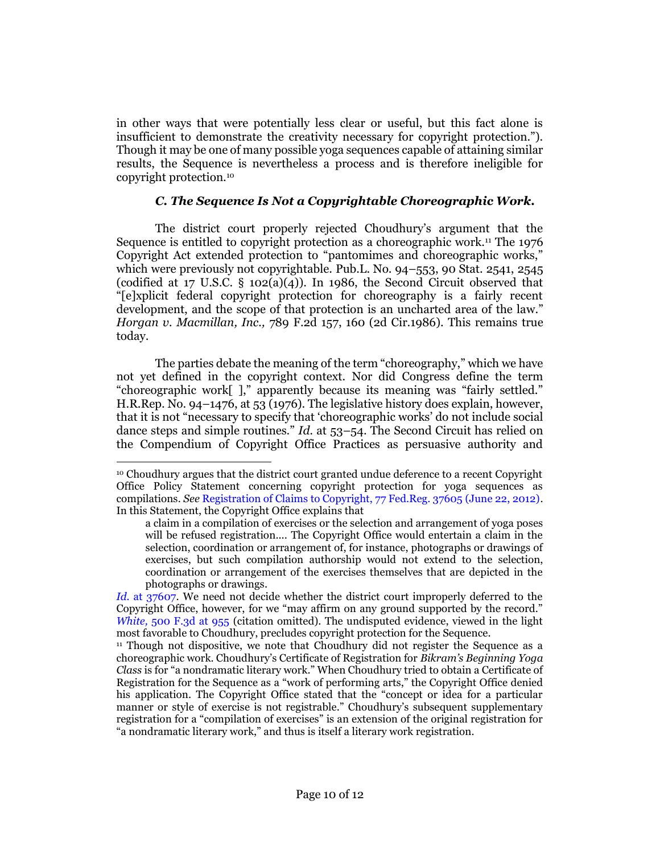in other ways that were potentially less clear or useful, but this fact alone is insufficient to demonstrate the creativity necessary for copyright protection."). Though it may be one of many possible yoga sequences capable of attaining similar results, the Sequence is nevertheless a process and is therefore ineligible for copyright protection.<sup>10</sup>

## *C. The Sequence Is Not a Copyrightable Choreographic Work.*

The district court properly rejected Choudhury's argument that the Sequence is entitled to copyright protection as a choreographic work.<sup>11</sup> The 1976 Copyright Act extended protection to "pantomimes and choreographic works," which were previously not copyrightable. Pub.L. No. 94–[553, 90 Stat. 2541,](http://www.westlaw.com/Link/Document/FullText?findType=l&pubNum=1077005&cite=UUID(I3EBA84836D-094354B800E-F480BFDD0A2)&originatingDoc=Ib47565c86dec11e5b86bd602cb8781fa&refType=SL&originationContext=document&vr=3.0&rs=cblt1.0&transitionType=DocumentItem&contextData=(sc.Search)) 2545 (codified at 17 U.S.C.  $\S$  102(a)(4)). In 1986, the Second Circuit observed that "[e]xplicit federal copyright protection for choreography is a fairly recent development, and the scope of that protection is an uncharted area of the law." *Horgan v. Macmillan, Inc.,* [789 F.2d 157, 160 \(2d Cir.1986\).](http://www.westlaw.com/Link/Document/FullText?findType=Y&serNum=1986122372&pubNum=0000350&originatingDoc=Ib47565c86dec11e5b86bd602cb8781fa&refType=RP&fi=co_pp_sp_350_160&originationContext=document&vr=3.0&rs=cblt1.0&transitionType=DocumentItem&contextData=(sc.Search)#co_pp_sp_350_160) This remains true today.

The parties debate the meaning of the term "choreography," which we have not yet defined in the copyright context. Nor did Congress define the term "choreographic work[ ]," apparently because its meaning was "fairly settled." [H.R.Rep. No. 94](http://www.westlaw.com/Link/Document/FullText?findType=Y&serNum=0100747631&pubNum=0100014&originatingDoc=Ib47565c86dec11e5b86bd602cb8781fa&refType=TV&originationContext=document&vr=3.0&rs=cblt1.0&transitionType=DocumentItem&contextData=(sc.Search))–1476, at 53 (1976). The legislative history does explain, however, that it is not "necessary to specify that 'choreographic works' do not include social dance steps and simple routines." *Id.* at 53–54. The Second Circuit has relied on the Compendium of Copyright Office Practices as persuasive authority and

<sup>10</sup> Choudhury argues that the district court granted undue deference to a recent Copyright Office Policy Statement concerning copyright protection for yoga sequences as compilations. *See* [Registration of Claims to Copyright, 77 Fed.Reg. 37605 \(June 22, 2012\).](http://www.westlaw.com/Link/Document/FullText?findType=l&pubNum=0001037&cite=UUID(I25EFAB80BC3811E1A9128E57549DF743)&originatingDoc=Ib47565c86dec11e5b86bd602cb8781fa&refType=CP&fi=co_pp_sp_1037_37605&originationContext=document&vr=3.0&rs=cblt1.0&transitionType=DocumentItem&contextData=(sc.Search)#co_pp_sp_1037_37605) In this Statement, the Copyright Office explains that

a claim in a compilation of exercises or the selection and arrangement of yoga poses will be refused registration.... The Copyright Office would entertain a claim in the selection, coordination or arrangement of, for instance, photographs or drawings of exercises, but such compilation authorship would not extend to the selection, coordination or arrangement of the exercises themselves that are depicted in the photographs or drawings.

*Id.* [at 37607.](http://www.westlaw.com/Link/Document/FullText?findType=l&pubNum=0001037&cite=UUID(I25EFAB80BC3811E1A9128E57549DF743)&originatingDoc=Ib47565c86dec11e5b86bd602cb8781fa&refType=CP&fi=co_pp_sp_1037_37605&originationContext=document&vr=3.0&rs=cblt1.0&transitionType=DocumentItem&contextData=(sc.Search)#co_pp_sp_1037_37605) We need not decide whether the district court improperly deferred to the Copyright Office, however, for we "may affirm on any ground supported by the record." *White,* [500 F.3d at 955](http://www.westlaw.com/Link/Document/FullText?findType=Y&serNum=2013074182&pubNum=0000506&originatingDoc=Ib47565c86dec11e5b86bd602cb8781fa&refType=RP&fi=co_pp_sp_506_955&originationContext=document&vr=3.0&rs=cblt1.0&transitionType=DocumentItem&contextData=(sc.Search)#co_pp_sp_506_955) (citation omitted). The undisputed evidence, viewed in the light most favorable to Choudhury, precludes copyright protection for the Sequence.

<sup>11</sup> Though not dispositive, we note that Choudhury did not register the Sequence as a choreographic work. Choudhury's Certificate of Registration for *Bikram's Beginning Yoga Class* is for "a nondramatic literary work." When Choudhury tried to obtain a Certificate of Registration for the Sequence as a "work of performing arts," the Copyright Office denied his application. The Copyright Office stated that the "concept or idea for a particular manner or style of exercise is not registrable." Choudhury's subsequent supplementary registration for a "compilation of exercises" is an extension of the original registration for "a nondramatic literary work," and thus is itself a literary work registration.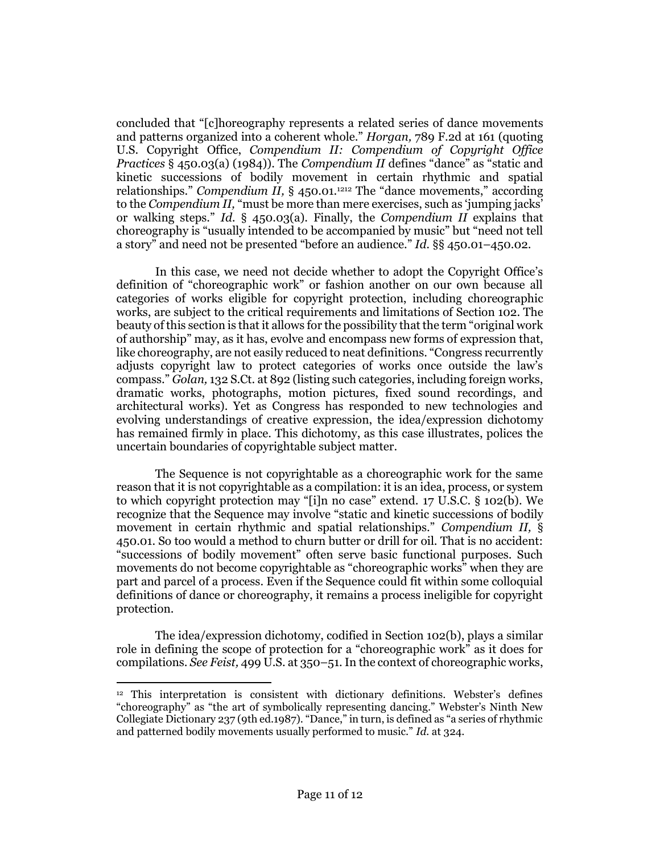concluded that "[c]horeography represents a related series of dance movements and patterns organized into a coherent whole." *Horgan,* [789 F.2d at 161](http://www.westlaw.com/Link/Document/FullText?findType=Y&serNum=1986122372&pubNum=0000350&originatingDoc=Ib47565c86dec11e5b86bd602cb8781fa&refType=RP&fi=co_pp_sp_350_161&originationContext=document&vr=3.0&rs=cblt1.0&transitionType=DocumentItem&contextData=(sc.Search)#co_pp_sp_350_161) (quoting U.S. Copyright Office, *Compendium II: Compendium of Copyright Office Practices* § 450.03(a) (1984)). The *Compendium II* defines "dance" as "static and kinetic successions of bodily movement in certain rhythmic and spatial relationships." *Compendium II*, § 450.01.<sup>1[212](#page-10-0)</sup> The "dance movements," according to the *Compendium II,* "must be more than mere exercises, such as 'jumping jacks' or walking steps." *Id.* § 450.03(a). Finally, the *Compendium II* explains that choreography is "usually intended to be accompanied by music" but "need not tell a story" and need not be presented "before an audience." *Id.* §§ 450.01–450.02.

<span id="page-10-0"></span>In this case, we need not decide whether to adopt the Copyright Office's definition of "choreographic work" or fashion another on our own because all categories of works eligible for copyright protection, including choreographic works, are subject to the critical requirements and limitations of [Section 102.](http://www.westlaw.com/Link/Document/FullText?findType=L&pubNum=1000546&cite=17USCAS102&originatingDoc=Ib47565c86dec11e5b86bd602cb8781fa&refType=LQ&originationContext=document&vr=3.0&rs=cblt1.0&transitionType=DocumentItem&contextData=(sc.Search)) The beauty of this section is that it allows for the possibility that the term "original work of authorship" may, as it has, evolve and encompass new forms of expression that, like choreography, are not easily reduced to neat definitions. "Congress recurrently adjusts copyright law to protect categories of works once outside the law's compass." *Golan,* [132 S.Ct. at 892](http://www.westlaw.com/Link/Document/FullText?findType=Y&serNum=2026877422&pubNum=0000708&originatingDoc=Ib47565c86dec11e5b86bd602cb8781fa&refType=RP&fi=co_pp_sp_708_892&originationContext=document&vr=3.0&rs=cblt1.0&transitionType=DocumentItem&contextData=(sc.Search)#co_pp_sp_708_892) (listing such categories, including foreign works, dramatic works, photographs, motion pictures, fixed sound recordings, and architectural works). Yet as Congress has responded to new technologies and evolving understandings of creative expression, the idea/expression dichotomy has remained firmly in place. This dichotomy, as this case illustrates, polices the uncertain boundaries of copyrightable subject matter.

The Sequence is not copyrightable as a choreographic work for the same reason that it is not copyrightable as a compilation: it is an idea, process, or system to which copyright protection may "[i]n no case" extend. [17 U.S.C. § 102\(b\).](http://www.westlaw.com/Link/Document/FullText?findType=L&pubNum=1000546&cite=17USCAS102&originatingDoc=Ib47565c86dec11e5b86bd602cb8781fa&refType=RB&originationContext=document&vr=3.0&rs=cblt1.0&transitionType=DocumentItem&contextData=(sc.Search)#co_pp_a83b000018c76) We recognize that the Sequence may involve "static and kinetic successions of bodily movement in certain rhythmic and spatial relationships." *Compendium II,* § 450.01. So too would a method to churn butter or drill for oil. That is no accident: "successions of bodily movement" often serve basic functional purposes. Such movements do not become copyrightable as "choreographic works" when they are part and parcel of a process. Even if the Sequence could fit within some colloquial definitions of dance or choreography, it remains a process ineligible for copyright protection.

The idea/expression dichotomy, codified in [Section 102\(b\),](http://www.westlaw.com/Link/Document/FullText?findType=L&pubNum=1000546&cite=17USCAS102&originatingDoc=Ib47565c86dec11e5b86bd602cb8781fa&refType=RB&originationContext=document&vr=3.0&rs=cblt1.0&transitionType=DocumentItem&contextData=(sc.Search)#co_pp_a83b000018c76) plays a similar role in defining the scope of protection for a "choreographic work" as it does for compilations. *See Feist,* [499 U.S. at 350](http://www.westlaw.com/Link/Document/FullText?findType=Y&serNum=1991060551&pubNum=0000708&originatingDoc=Ib47565c86dec11e5b86bd602cb8781fa&refType=RP&originationContext=document&vr=3.0&rs=cblt1.0&transitionType=DocumentItem&contextData=(sc.Search))–51. In the context of choreographic works,

 $\overline{a}$  $12$  This interpretation is consistent with dictionary definitions. Webster's defines "choreography" as "the art of symbolically representing dancing." Webster's Ninth New Collegiate Dictionary 237 (9th ed.1987). "Dance," in turn, is defined as "a series of rhythmic and patterned bodily movements usually performed to music." *Id.* at 324.